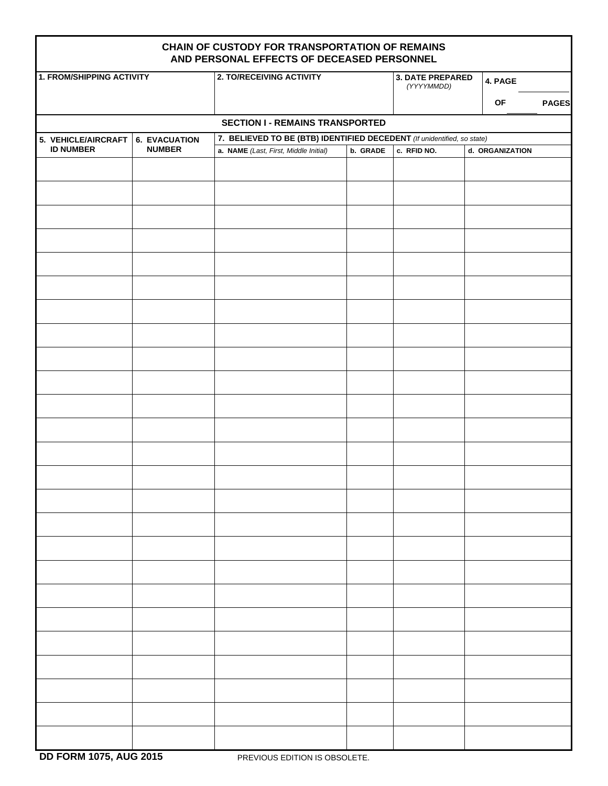| CHAIN OF CUSTODY FOR TRANSPORTATION OF REMAINS<br>AND PERSONAL EFFECTS OF DECEASED PERSONNEL |                                                                                                 |                                       |          |                                       |                    |  |  |  |  |  |  |
|----------------------------------------------------------------------------------------------|-------------------------------------------------------------------------------------------------|---------------------------------------|----------|---------------------------------------|--------------------|--|--|--|--|--|--|
| <b>1. FROM/SHIPPING ACTIVITY</b>                                                             |                                                                                                 | 2. TO/RECEIVING ACTIVITY              |          | <b>3. DATE PREPARED</b><br>(YYYYMMDD) | 4. PAGE            |  |  |  |  |  |  |
|                                                                                              |                                                                                                 |                                       |          |                                       | OF<br><b>PAGES</b> |  |  |  |  |  |  |
| <b>SECTION I - REMAINS TRANSPORTED</b>                                                       |                                                                                                 |                                       |          |                                       |                    |  |  |  |  |  |  |
| 5. VEHICLE/AIRCRAFT                                                                          | 7. BELIEVED TO BE (BTB) IDENTIFIED DECEDENT (If unidentified, so state)<br><b>6. EVACUATION</b> |                                       |          |                                       |                    |  |  |  |  |  |  |
| <b>ID NUMBER</b>                                                                             | <b>NUMBER</b>                                                                                   | a. NAME (Last, First, Middle Initial) | b. GRADE | c. RFID NO.                           | d. ORGANIZATION    |  |  |  |  |  |  |
|                                                                                              |                                                                                                 |                                       |          |                                       |                    |  |  |  |  |  |  |
|                                                                                              |                                                                                                 |                                       |          |                                       |                    |  |  |  |  |  |  |
|                                                                                              |                                                                                                 |                                       |          |                                       |                    |  |  |  |  |  |  |
|                                                                                              |                                                                                                 |                                       |          |                                       |                    |  |  |  |  |  |  |
|                                                                                              |                                                                                                 |                                       |          |                                       |                    |  |  |  |  |  |  |
|                                                                                              |                                                                                                 |                                       |          |                                       |                    |  |  |  |  |  |  |
|                                                                                              |                                                                                                 |                                       |          |                                       |                    |  |  |  |  |  |  |
|                                                                                              |                                                                                                 |                                       |          |                                       |                    |  |  |  |  |  |  |
|                                                                                              |                                                                                                 |                                       |          |                                       |                    |  |  |  |  |  |  |
|                                                                                              |                                                                                                 |                                       |          |                                       |                    |  |  |  |  |  |  |
|                                                                                              |                                                                                                 |                                       |          |                                       |                    |  |  |  |  |  |  |
|                                                                                              |                                                                                                 |                                       |          |                                       |                    |  |  |  |  |  |  |
|                                                                                              |                                                                                                 |                                       |          |                                       |                    |  |  |  |  |  |  |
|                                                                                              |                                                                                                 |                                       |          |                                       |                    |  |  |  |  |  |  |
|                                                                                              |                                                                                                 |                                       |          |                                       |                    |  |  |  |  |  |  |
|                                                                                              |                                                                                                 |                                       |          |                                       |                    |  |  |  |  |  |  |
|                                                                                              |                                                                                                 |                                       |          |                                       |                    |  |  |  |  |  |  |
|                                                                                              |                                                                                                 |                                       |          |                                       |                    |  |  |  |  |  |  |
|                                                                                              |                                                                                                 |                                       |          |                                       |                    |  |  |  |  |  |  |
|                                                                                              |                                                                                                 |                                       |          |                                       |                    |  |  |  |  |  |  |
|                                                                                              |                                                                                                 |                                       |          |                                       |                    |  |  |  |  |  |  |
|                                                                                              |                                                                                                 |                                       |          |                                       |                    |  |  |  |  |  |  |
|                                                                                              |                                                                                                 |                                       |          |                                       |                    |  |  |  |  |  |  |
|                                                                                              |                                                                                                 |                                       |          |                                       |                    |  |  |  |  |  |  |
|                                                                                              |                                                                                                 |                                       |          |                                       |                    |  |  |  |  |  |  |
|                                                                                              |                                                                                                 |                                       |          |                                       |                    |  |  |  |  |  |  |
|                                                                                              |                                                                                                 |                                       |          |                                       |                    |  |  |  |  |  |  |
|                                                                                              |                                                                                                 |                                       |          |                                       |                    |  |  |  |  |  |  |
|                                                                                              |                                                                                                 |                                       |          |                                       |                    |  |  |  |  |  |  |
|                                                                                              |                                                                                                 |                                       |          |                                       |                    |  |  |  |  |  |  |
|                                                                                              |                                                                                                 |                                       |          |                                       |                    |  |  |  |  |  |  |
|                                                                                              |                                                                                                 |                                       |          |                                       |                    |  |  |  |  |  |  |
|                                                                                              |                                                                                                 |                                       |          |                                       |                    |  |  |  |  |  |  |
|                                                                                              |                                                                                                 |                                       |          |                                       |                    |  |  |  |  |  |  |
|                                                                                              |                                                                                                 |                                       |          |                                       |                    |  |  |  |  |  |  |
|                                                                                              |                                                                                                 |                                       |          |                                       |                    |  |  |  |  |  |  |
|                                                                                              |                                                                                                 |                                       |          |                                       |                    |  |  |  |  |  |  |
|                                                                                              |                                                                                                 |                                       |          |                                       |                    |  |  |  |  |  |  |
|                                                                                              |                                                                                                 |                                       |          |                                       |                    |  |  |  |  |  |  |
|                                                                                              |                                                                                                 |                                       |          |                                       |                    |  |  |  |  |  |  |

**DD FORM 1075, AUG 2015** PREVIOUS EDITION IS OBSOLETE.